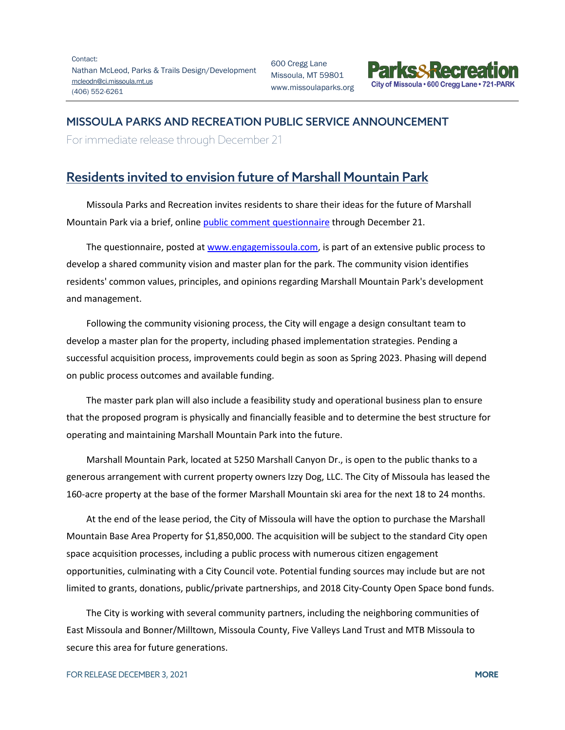Contact: Nathan McLeod, Parks & Trails Design/Development [mcleodn@ci.missoula.mt.us](mailto:mcleodn@ci.missoula.mt.us) (406) 552-6261

600 Cregg Lane Missoula, MT 59801 www.missoulaparks.org



## MISSOULA PARKS AND RECREATION PUBLIC SERVICE ANNOUNCEMENT

For immediate release through December 21

## Residents invited to envision future of Marshall Mountain Park

Missoula Parks and Recreation invites residents to share their ideas for the future of Marshall Mountain Park via a brief, online [public comment questionnaire](https://www.engagemissoula.com/marshall-mountain-recreation-area/survey_tools/marshall-mountain-survey) through December 21.

The questionnaire, posted a[t www.engagemissoula.com,](https://www.engagemissoula.com/marshall-mountain-recreation-area) is part of an extensive public process to develop a shared community vision and master plan for the park. The community vision identifies residents' common values, principles, and opinions regarding Marshall Mountain Park's development and management.

Following the community visioning process, the City will engage a design consultant team to develop a master plan for the property, including phased implementation strategies. Pending a successful acquisition process, improvements could begin as soon as Spring 2023. Phasing will depend on public process outcomes and available funding.

The master park plan will also include a feasibility study and operational business plan to ensure that the proposed program is physically and financially feasible and to determine the best structure for operating and maintaining Marshall Mountain Park into the future.

Marshall Mountain Park, located at 5250 Marshall Canyon Dr., is open to the public thanks to a generous arrangement with current property owners Izzy Dog, LLC. The City of Missoula has leased the 160-acre property at the base of the former Marshall Mountain ski area for the next 18 to 24 months.

At the end of the lease period, the City of Missoula will have the option to purchase the Marshall Mountain Base Area Property for \$1,850,000. The acquisition will be subject to the standard City open space acquisition processes, including a public process with numerous citizen engagement opportunities, culminating with a City Council vote. Potential funding sources may include but are not limited to grants, donations, public/private partnerships, and 2018 City-County Open Space bond funds.

The City is working with several community partners, including the neighboring communities of East Missoula and Bonner/Milltown, Missoula County, Five Valleys Land Trust and MTB Missoula to secure this area for future generations.